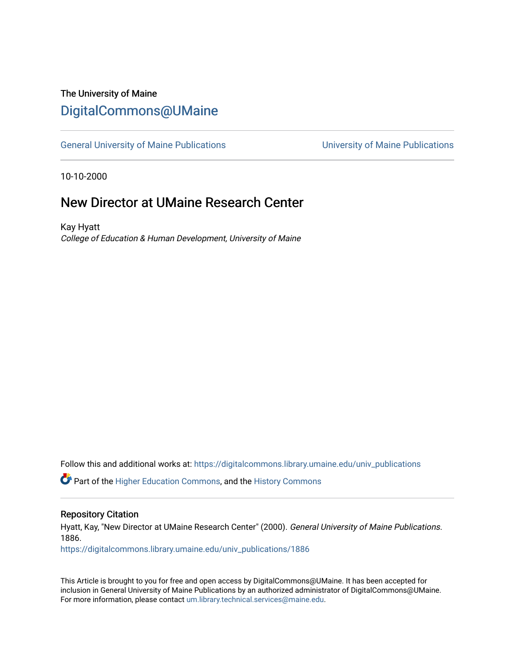## The University of Maine [DigitalCommons@UMaine](https://digitalcommons.library.umaine.edu/)

[General University of Maine Publications](https://digitalcommons.library.umaine.edu/univ_publications) [University of Maine Publications](https://digitalcommons.library.umaine.edu/umaine_publications) 

10-10-2000

### New Director at UMaine Research Center

Kay Hyatt College of Education & Human Development, University of Maine

Follow this and additional works at: [https://digitalcommons.library.umaine.edu/univ\\_publications](https://digitalcommons.library.umaine.edu/univ_publications?utm_source=digitalcommons.library.umaine.edu%2Funiv_publications%2F1886&utm_medium=PDF&utm_campaign=PDFCoverPages) 

Part of the [Higher Education Commons,](http://network.bepress.com/hgg/discipline/1245?utm_source=digitalcommons.library.umaine.edu%2Funiv_publications%2F1886&utm_medium=PDF&utm_campaign=PDFCoverPages) and the [History Commons](http://network.bepress.com/hgg/discipline/489?utm_source=digitalcommons.library.umaine.edu%2Funiv_publications%2F1886&utm_medium=PDF&utm_campaign=PDFCoverPages)

#### Repository Citation

Hyatt, Kay, "New Director at UMaine Research Center" (2000). General University of Maine Publications. 1886.

[https://digitalcommons.library.umaine.edu/univ\\_publications/1886](https://digitalcommons.library.umaine.edu/univ_publications/1886?utm_source=digitalcommons.library.umaine.edu%2Funiv_publications%2F1886&utm_medium=PDF&utm_campaign=PDFCoverPages)

This Article is brought to you for free and open access by DigitalCommons@UMaine. It has been accepted for inclusion in General University of Maine Publications by an authorized administrator of DigitalCommons@UMaine. For more information, please contact [um.library.technical.services@maine.edu](mailto:um.library.technical.services@maine.edu).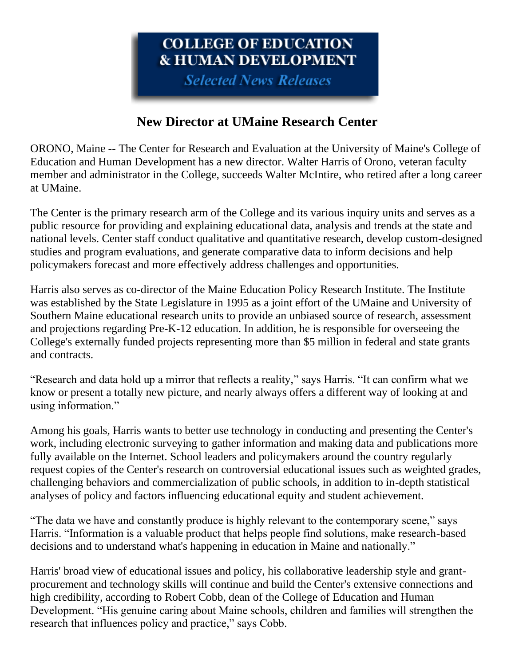# COLLEGE OF EDUCATION **& HUMAN DEVELOPMENT**

**Selected News Releases** 

## **New Director at UMaine Research Center**

ORONO, Maine -- The Center for Research and Evaluation at the University of Maine's College of Education and Human Development has a new director. Walter Harris of Orono, veteran faculty member and administrator in the College, succeeds Walter McIntire, who retired after a long career at UMaine.

The Center is the primary research arm of the College and its various inquiry units and serves as a public resource for providing and explaining educational data, analysis and trends at the state and national levels. Center staff conduct qualitative and quantitative research, develop custom-designed studies and program evaluations, and generate comparative data to inform decisions and help policymakers forecast and more effectively address challenges and opportunities.

Harris also serves as co-director of the Maine Education Policy Research Institute. The Institute was established by the State Legislature in 1995 as a joint effort of the UMaine and University of Southern Maine educational research units to provide an unbiased source of research, assessment and projections regarding Pre-K-12 education. In addition, he is responsible for overseeing the College's externally funded projects representing more than \$5 million in federal and state grants and contracts.

"Research and data hold up a mirror that reflects a reality," says Harris. "It can confirm what we know or present a totally new picture, and nearly always offers a different way of looking at and using information."

Among his goals, Harris wants to better use technology in conducting and presenting the Center's work, including electronic surveying to gather information and making data and publications more fully available on the Internet. School leaders and policymakers around the country regularly request copies of the Center's research on controversial educational issues such as weighted grades, challenging behaviors and commercialization of public schools, in addition to in-depth statistical analyses of policy and factors influencing educational equity and student achievement.

"The data we have and constantly produce is highly relevant to the contemporary scene," says Harris. "Information is a valuable product that helps people find solutions, make research-based decisions and to understand what's happening in education in Maine and nationally."

Harris' broad view of educational issues and policy, his collaborative leadership style and grantprocurement and technology skills will continue and build the Center's extensive connections and high credibility, according to Robert Cobb, dean of the College of Education and Human Development. "His genuine caring about Maine schools, children and families will strengthen the research that influences policy and practice," says Cobb.